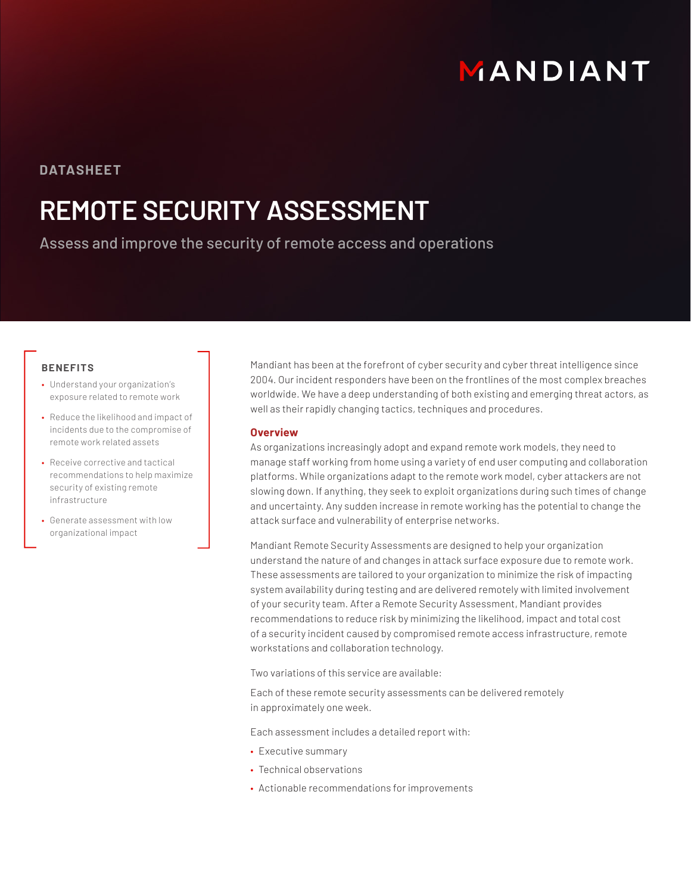# MANDIANT

### **DATASHEET**

# **REMOTE SECURITY ASSESSMENT**

Assess and improve the security of remote access and operations

### **BENEFITS**

- Understand your organization's exposure related to remote work
- Reduce the likelihood and impact of incidents due to the compromise of remote work related assets
- Receive corrective and tactical recommendations to help maximize security of existing remote infrastructure
- Generate assessment with low organizational impact

Mandiant has been at the forefront of cyber security and cyber threat intelligence since 2004. Our incident responders have been on the frontlines of the most complex breaches worldwide. We have a deep understanding of both existing and emerging threat actors, as well as their rapidly changing tactics, techniques and procedures.

#### **Overview**

As organizations increasingly adopt and expand remote work models, they need to manage staff working from home using a variety of end user computing and collaboration platforms. While organizations adapt to the remote work model, cyber attackers are not slowing down. If anything, they seek to exploit organizations during such times of change and uncertainty. Any sudden increase in remote working has the potential to change the attack surface and vulnerability of enterprise networks.

Mandiant Remote Security Assessments are designed to help your organization understand the nature of and changes in attack surface exposure due to remote work. These assessments are tailored to your organization to minimize the risk of impacting system availability during testing and are delivered remotely with limited involvement of your security team. After a Remote Security Assessment, Mandiant provides recommendations to reduce risk by minimizing the likelihood, impact and total cost of a security incident caused by compromised remote access infrastructure, remote workstations and collaboration technology.

Two variations of this service are available:

Each of these remote security assessments can be delivered remotely in approximately one week.

Each assessment includes a detailed report with:

- Executive summary
- Technical observations
- Actionable recommendations for improvements